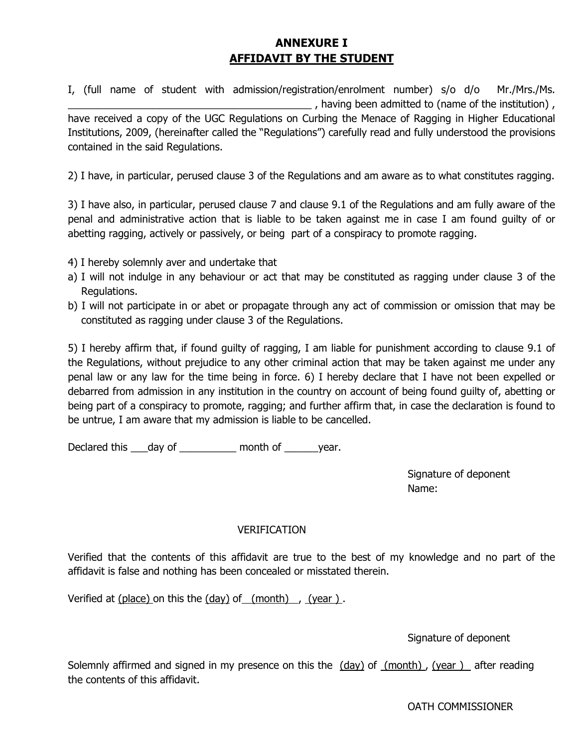## **ANNEXURE I AFFIDAVIT BY THE STUDENT**

I, (full name of student with admission/registration/enrolment number) s/o d/o Mr./Mrs./Ms. \_\_\_\_\_\_\_\_\_\_\_\_\_\_\_\_\_\_\_\_\_\_\_\_\_\_\_\_\_\_\_\_\_\_\_\_\_\_\_\_\_\_\_ , having been admitted to (name of the institution) , have received a copy of the UGC Regulations on Curbing the Menace of Ragging in Higher Educational Institutions, 2009, (hereinafter called the "Regulations") carefully read and fully understood the provisions contained in the said Regulations.

2) I have, in particular, perused clause 3 of the Regulations and am aware as to what constitutes ragging.

3) I have also, in particular, perused clause 7 and clause 9.1 of the Regulations and am fully aware of the penal and administrative action that is liable to be taken against me in case I am found guilty of or abetting ragging, actively or passively, or being part of a conspiracy to promote ragging.

- 4) I hereby solemnly aver and undertake that
- a) I will not indulge in any behaviour or act that may be constituted as ragging under clause 3 of the Regulations.
- b) I will not participate in or abet or propagate through any act of commission or omission that may be constituted as ragging under clause 3 of the Regulations.

5) I hereby affirm that, if found guilty of ragging, I am liable for punishment according to clause 9.1 of the Regulations, without prejudice to any other criminal action that may be taken against me under any penal law or any law for the time being in force. 6) I hereby declare that I have not been expelled or debarred from admission in any institution in the country on account of being found guilty of, abetting or being part of a conspiracy to promote, ragging; and further affirm that, in case the declaration is found to be untrue, I am aware that my admission is liable to be cancelled.

Declared this day of month of year.

Signature of deponent Name:

## VERIFICATION

Verified that the contents of this affidavit are true to the best of my knowledge and no part of the affidavit is false and nothing has been concealed or misstated therein.

Verified at  $(place)$  on this the  $(day)$  of  $(month)$ ,  $(year)$ .

Signature of deponent

Solemnly affirmed and signed in my presence on this the  $(day)$  of  $(month)$ , (year ) after reading the contents of this affidavit.

OATH COMMISSIONER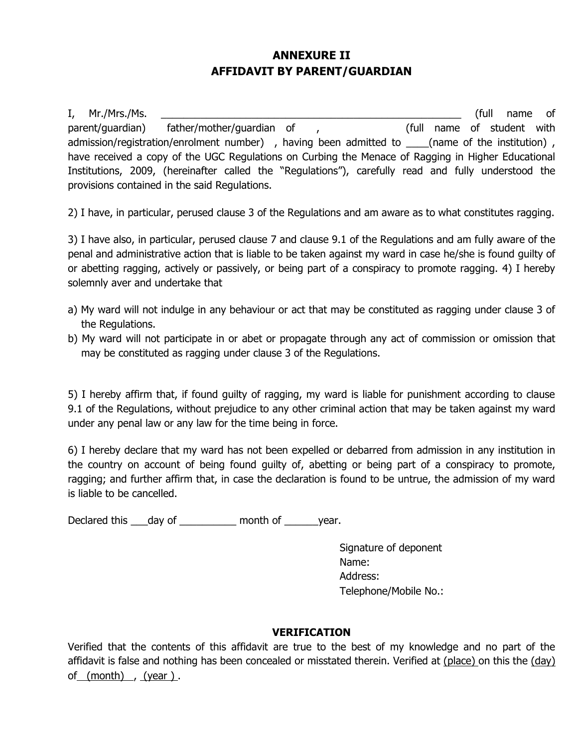## **ANNEXURE II AFFIDAVIT BY PARENT/GUARDIAN**

I, Mr./Mrs./Ms. \_\_\_\_\_\_\_\_\_\_\_\_\_\_\_\_\_\_\_\_\_\_\_\_\_\_\_\_\_\_\_\_\_\_\_\_\_\_\_\_\_\_\_\_\_\_\_\_\_\_\_\_\_ (full name of parent/guardian) father/mother/guardian of , (full name of student with admission/registration/enrolment number), having been admitted to \_\_\_\_(name of the institution), have received a copy of the UGC Regulations on Curbing the Menace of Ragging in Higher Educational Institutions, 2009, (hereinafter called the "Regulations"), carefully read and fully understood the provisions contained in the said Regulations.

2) I have, in particular, perused clause 3 of the Regulations and am aware as to what constitutes ragging.

3) I have also, in particular, perused clause 7 and clause 9.1 of the Regulations and am fully aware of the penal and administrative action that is liable to be taken against my ward in case he/she is found guilty of or abetting ragging, actively or passively, or being part of a conspiracy to promote ragging. 4) I hereby solemnly aver and undertake that

- a) My ward will not indulge in any behaviour or act that may be constituted as ragging under clause 3 of the Regulations.
- b) My ward will not participate in or abet or propagate through any act of commission or omission that may be constituted as ragging under clause 3 of the Regulations.

5) I hereby affirm that, if found guilty of ragging, my ward is liable for punishment according to clause 9.1 of the Regulations, without prejudice to any other criminal action that may be taken against my ward under any penal law or any law for the time being in force.

6) I hereby declare that my ward has not been expelled or debarred from admission in any institution in the country on account of being found guilty of, abetting or being part of a conspiracy to promote, ragging; and further affirm that, in case the declaration is found to be untrue, the admission of my ward is liable to be cancelled.

Declared this \_\_\_day of \_\_\_\_\_\_\_\_\_\_ month of \_\_\_\_\_\_year.

Signature of deponent Name: Address: Telephone/Mobile No.:

## **VERIFICATION**

Verified that the contents of this affidavit are true to the best of my knowledge and no part of the affidavit is false and nothing has been concealed or misstated therein. Verified at (place) on this the (day) of (month) , (year ) .